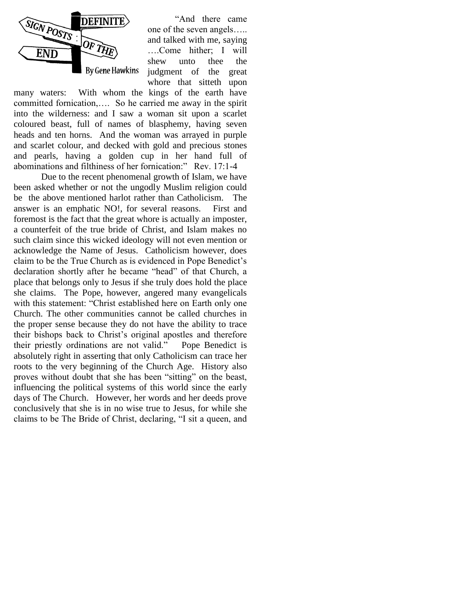

"And there came one of the seven angels….. and talked with me, saying ….Come hither; I will shew unto thee the judgment of the great whore that sitteth upon

many waters: With whom the kings of the earth have committed fornication,…. So he carried me away in the spirit into the wilderness: and I saw a woman sit upon a scarlet coloured beast, full of names of blasphemy, having seven heads and ten horns. And the woman was arrayed in purple and scarlet colour, and decked with gold and precious stones and pearls, having a golden cup in her hand full of abominations and filthiness of her fornication:" Rev. 17:1-4

Due to the recent phenomenal growth of Islam, we have been asked whether or not the ungodly Muslim religion could be the above mentioned harlot rather than Catholicism. The answer is an emphatic NO!, for several reasons. First and foremost is the fact that the great whore is actually an imposter, a counterfeit of the true bride of Christ, and Islam makes no such claim since this wicked ideology will not even mention or acknowledge the Name of Jesus. Catholicism however, does claim to be the True Church as is evidenced in Pope Benedict"s declaration shortly after he became "head" of that Church, a place that belongs only to Jesus if she truly does hold the place she claims. The Pope, however, angered many evangelicals with this statement: "Christ established here on Earth only one Church. The other communities cannot be called churches in the proper sense because they do not have the ability to trace their bishops back to Christ"s original apostles and therefore their priestly ordinations are not valid." Pope Benedict is absolutely right in asserting that only Catholicism can trace her roots to the very beginning of the Church Age. History also proves without doubt that she has been "sitting" on the beast, influencing the political systems of this world since the early days of The Church. However, her words and her deeds prove conclusively that she is in no wise true to Jesus, for while she claims to be The Bride of Christ, declaring, "I sit a queen, and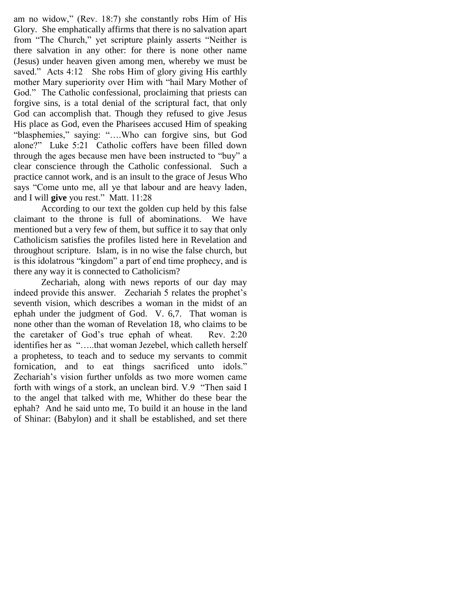am no widow," (Rev. 18:7) she constantly robs Him of His Glory. She emphatically affirms that there is no salvation apart from "The Church," yet scripture plainly asserts "Neither is there salvation in any other: for there is none other name (Jesus) under heaven given among men, whereby we must be saved." Acts 4:12 She robs Him of glory giving His earthly mother Mary superiority over Him with "hail Mary Mother of God." The Catholic confessional, proclaiming that priests can forgive sins, is a total denial of the scriptural fact, that only God can accomplish that. Though they refused to give Jesus His place as God, even the Pharisees accused Him of speaking "blasphemies," saying: "….Who can forgive sins, but God alone?" Luke 5:21 Catholic coffers have been filled down through the ages because men have been instructed to "buy" a clear conscience through the Catholic confessional. Such a practice cannot work, and is an insult to the grace of Jesus Who says "Come unto me, all ye that labour and are heavy laden, and I will **give** you rest." Matt. 11:28

According to our text the golden cup held by this false claimant to the throne is full of abominations. We have mentioned but a very few of them, but suffice it to say that only Catholicism satisfies the profiles listed here in Revelation and throughout scripture. Islam, is in no wise the false church, but is this idolatrous "kingdom" a part of end time prophecy, and is there any way it is connected to Catholicism?

Zechariah, along with news reports of our day may indeed provide this answer. Zechariah 5 relates the prophet"s seventh vision, which describes a woman in the midst of an ephah under the judgment of God. V. 6,7. That woman is none other than the woman of Revelation 18, who claims to be the caretaker of God"s true ephah of wheat. Rev. 2:20 identifies her as "…..that woman Jezebel, which calleth herself a prophetess, to teach and to seduce my servants to commit fornication, and to eat things sacrificed unto idols." Zechariah's vision further unfolds as two more women came forth with wings of a stork, an unclean bird. V.9 "Then said I to the angel that talked with me, Whither do these bear the ephah? And he said unto me, To build it an house in the land of Shinar: (Babylon) and it shall be established, and set there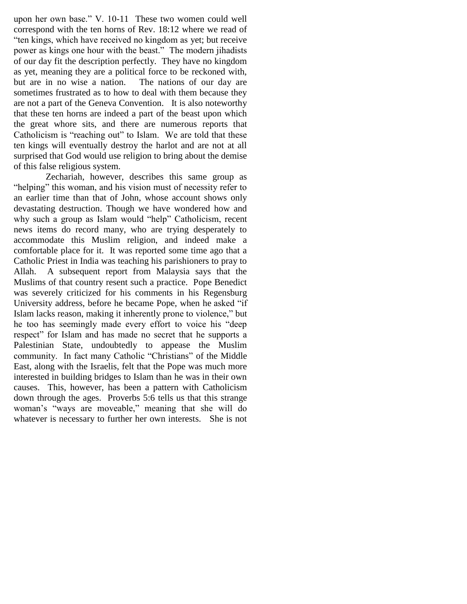upon her own base." V. 10-11 These two women could well correspond with the ten horns of Rev. 18:12 where we read of "ten kings, which have received no kingdom as yet; but receive power as kings one hour with the beast." The modern jihadists of our day fit the description perfectly. They have no kingdom as yet, meaning they are a political force to be reckoned with, but are in no wise a nation. The nations of our day are sometimes frustrated as to how to deal with them because they are not a part of the Geneva Convention. It is also noteworthy that these ten horns are indeed a part of the beast upon which the great whore sits, and there are numerous reports that Catholicism is "reaching out" to Islam. We are told that these ten kings will eventually destroy the harlot and are not at all surprised that God would use religion to bring about the demise of this false religious system.

 Zechariah, however, describes this same group as "helping" this woman, and his vision must of necessity refer to an earlier time than that of John, whose account shows only devastating destruction. Though we have wondered how and why such a group as Islam would "help" Catholicism, recent news items do record many, who are trying desperately to accommodate this Muslim religion, and indeed make a comfortable place for it. It was reported some time ago that a Catholic Priest in India was teaching his parishioners to pray to Allah. A subsequent report from Malaysia says that the Muslims of that country resent such a practice. Pope Benedict was severely criticized for his comments in his Regensburg University address, before he became Pope, when he asked "if Islam lacks reason, making it inherently prone to violence," but he too has seemingly made every effort to voice his "deep respect" for Islam and has made no secret that he supports a Palestinian State, undoubtedly to appease the Muslim community. In fact many Catholic "Christians" of the Middle East, along with the Israelis, felt that the Pope was much more interested in building bridges to Islam than he was in their own causes. This, however, has been a pattern with Catholicism down through the ages. Proverbs 5:6 tells us that this strange woman"s "ways are moveable," meaning that she will do whatever is necessary to further her own interests. She is not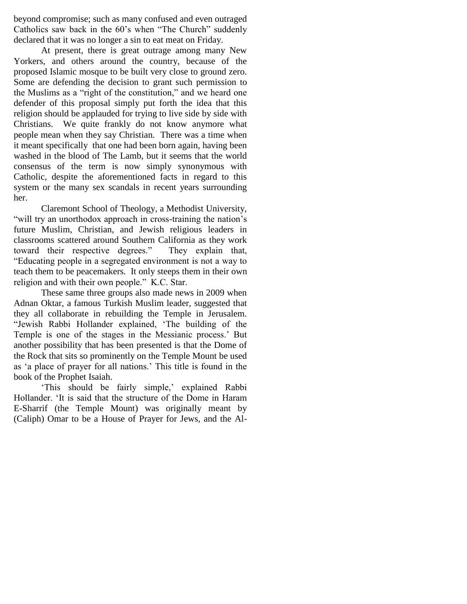beyond compromise; such as many confused and even outraged Catholics saw back in the 60"s when "The Church" suddenly declared that it was no longer a sin to eat meat on Friday.

At present, there is great outrage among many New Yorkers, and others around the country, because of the proposed Islamic mosque to be built very close to ground zero. Some are defending the decision to grant such permission to the Muslims as a "right of the constitution," and we heard one defender of this proposal simply put forth the idea that this religion should be applauded for trying to live side by side with Christians. We quite frankly do not know anymore what people mean when they say Christian. There was a time when it meant specifically that one had been born again, having been washed in the blood of The Lamb, but it seems that the world consensus of the term is now simply synonymous with Catholic, despite the aforementioned facts in regard to this system or the many sex scandals in recent years surrounding her.

Claremont School of Theology, a Methodist University, "will try an unorthodox approach in cross-training the nation's future Muslim, Christian, and Jewish religious leaders in classrooms scattered around Southern California as they work toward their respective degrees." They explain that, "Educating people in a segregated environment is not a way to teach them to be peacemakers. It only steeps them in their own religion and with their own people." K.C. Star.

These same three groups also made news in 2009 when Adnan Oktar, a famous Turkish Muslim leader, suggested that they all collaborate in rebuilding the Temple in Jerusalem. "Jewish Rabbi Hollander explained, "The building of the Temple is one of the stages in the Messianic process." But another possibility that has been presented is that the Dome of the Rock that sits so prominently on the Temple Mount be used as "a place of prayer for all nations." This title is found in the book of the Prophet Isaiah.

'This should be fairly simple,' explained Rabbi Hollander. "It is said that the structure of the Dome in Haram E-Sharrif (the Temple Mount) was originally meant by (Caliph) Omar to be a House of Prayer for Jews, and the Al-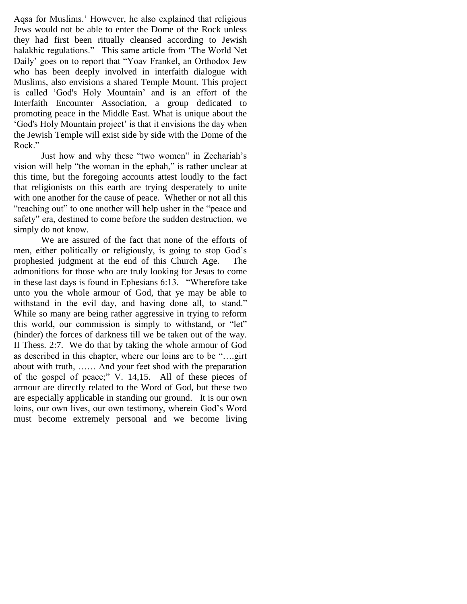Aqsa for Muslims." However, he also explained that religious Jews would not be able to enter the Dome of the Rock unless they had first been ritually cleansed according to Jewish halakhic regulations." This same article from "The World Net Daily" goes on to report that "Yoav Frankel, an Orthodox Jew who has been deeply involved in interfaith dialogue with Muslims, also envisions a shared Temple Mount. This project is called "God's Holy Mountain" and is an effort of the Interfaith Encounter Association, a group dedicated to promoting peace in the Middle East. What is unique about the "God's Holy Mountain project" is that it envisions the day when the Jewish Temple will exist side by side with the Dome of the Rock."

Just how and why these "two women" in Zechariah"s vision will help "the woman in the ephah," is rather unclear at this time, but the foregoing accounts attest loudly to the fact that religionists on this earth are trying desperately to unite with one another for the cause of peace. Whether or not all this "reaching out" to one another will help usher in the "peace and safety" era, destined to come before the sudden destruction, we simply do not know.

We are assured of the fact that none of the efforts of men, either politically or religiously, is going to stop God"s prophesied judgment at the end of this Church Age. The admonitions for those who are truly looking for Jesus to come in these last days is found in Ephesians 6:13. "Wherefore take unto you the whole armour of God, that ye may be able to withstand in the evil day, and having done all, to stand." While so many are being rather aggressive in trying to reform this world, our commission is simply to withstand, or "let" (hinder) the forces of darkness till we be taken out of the way. II Thess. 2:7. We do that by taking the whole armour of God as described in this chapter, where our loins are to be "….girt about with truth, …… And your feet shod with the preparation of the gospel of peace;" V. 14,15. All of these pieces of armour are directly related to the Word of God, but these two are especially applicable in standing our ground. It is our own loins, our own lives, our own testimony, wherein God"s Word must become extremely personal and we become living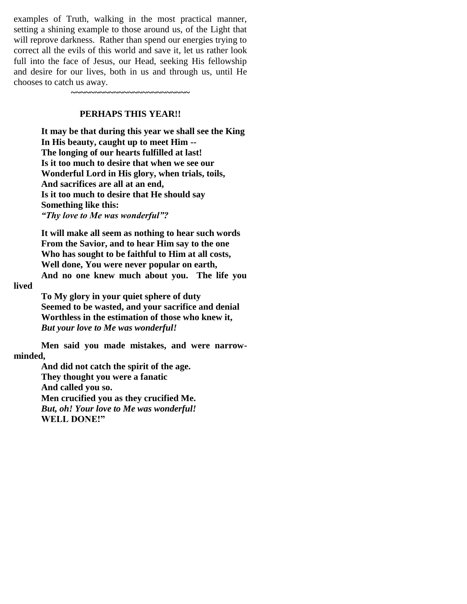examples of Truth, walking in the most practical manner, setting a shining example to those around us, of the Light that will reprove darkness. Rather than spend our energies trying to correct all the evils of this world and save it, let us rather look full into the face of Jesus, our Head, seeking His fellowship and desire for our lives, both in us and through us, until He chooses to catch us away.

**~~~~~~~~~~~~~~~~~~~~~~~~~**

#### **PERHAPS THIS YEAR!!**

**It may be that during this year we shall see the King In His beauty, caught up to meet Him -- The longing of our hearts fulfilled at last! Is it too much to desire that when we see our Wonderful Lord in His glory, when trials, toils, And sacrifices are all at an end, Is it too much to desire that He should say Something like this:** *"Thy love to Me was wonderful"?*

**It will make all seem as nothing to hear such words From the Savior, and to hear Him say to the one Who has sought to be faithful to Him at all costs, Well done, You were never popular on earth, And no one knew much about you. The life you** 

#### **lived**

**To My glory in your quiet sphere of duty Seemed to be wasted, and your sacrifice and denial Worthless in the estimation of those who knew it,** *But your love to Me was wonderful!*

**Men said you made mistakes, and were narrowminded,**

> **And did not catch the spirit of the age. They thought you were a fanatic And called you so. Men crucified you as they crucified Me.** *But, oh! Your love to Me was wonderful!* **WELL DONE!"**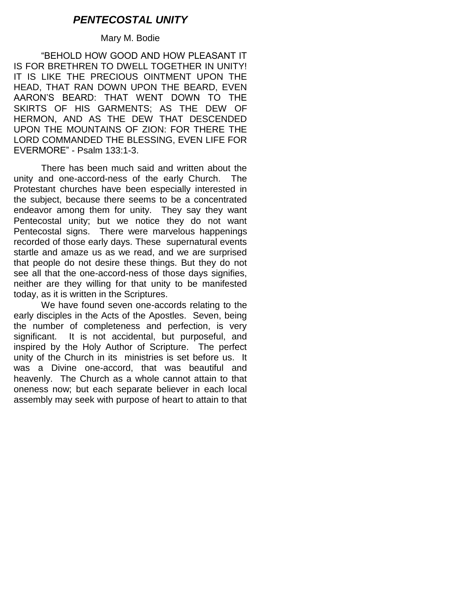# *PENTECOSTAL UNITY*

## Mary M. Bodie

"BEHOLD HOW GOOD AND HOW PLEASANT IT IS FOR BRETHREN TO DWELL TOGETHER IN UNITY! IT IS LIKE THE PRECIOUS OINTMENT UPON THE HEAD, THAT RAN DOWN UPON THE BEARD, EVEN AARON"S BEARD: THAT WENT DOWN TO THE SKIRTS OF HIS GARMENTS; AS THE DEW OF HERMON, AND AS THE DEW THAT DESCENDED UPON THE MOUNTAINS OF ZION: FOR THERE THE LORD COMMANDED THE BLESSING, EVEN LIFE FOR EVERMORE" - Psalm 133:1-3.

There has been much said and written about the unity and one-accord-ness of the early Church. The Protestant churches have been especially interested in the subject, because there seems to be a concentrated endeavor among them for unity. They say they want Pentecostal unity; but we notice they do not want Pentecostal signs. There were marvelous happenings recorded of those early days. These supernatural events startle and amaze us as we read, and we are surprised that people do not desire these things. But they do not see all that the one-accord-ness of those days signifies, neither are they willing for that unity to be manifested today, as it is written in the Scriptures.

We have found seven one-accords relating to the early disciples in the Acts of the Apostles. Seven, being the number of completeness and perfection, is very significant. It is not accidental, but purposeful, and inspired by the Holy Author of Scripture. The perfect unity of the Church in its ministries is set before us. It was a Divine one-accord, that was beautiful and heavenly. The Church as a whole cannot attain to that oneness now; but each separate believer in each local assembly may seek with purpose of heart to attain to that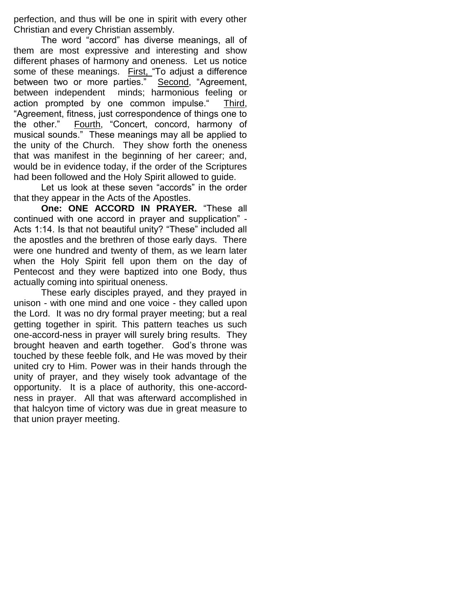perfection, and thus will be one in spirit with every other Christian and every Christian assembly.

The word "accord" has diverse meanings, all of them are most expressive and interesting and show different phases of harmony and oneness. Let us notice some of these meanings. First, "To adjust a difference between two or more parties." Second, "Agreement, between independent minds; harmonious feeling or action prompted by one common impulse." Third, "Agreement, fitness, just correspondence of things one to the other." Fourth, "Concert, concord, harmony of musical sounds." These meanings may all be applied to the unity of the Church. They show forth the oneness that was manifest in the beginning of her career; and, would be in evidence today, if the order of the Scriptures had been followed and the Holy Spirit allowed to guide.

Let us look at these seven "accords" in the order that they appear in the Acts of the Apostles.

**One: ONE ACCORD IN PRAYER.** "These all continued with one accord in prayer and supplication" - Acts 1:14. Is that not beautiful unity? "These" included all the apostles and the brethren of those early days. There were one hundred and twenty of them, as we learn later when the Holy Spirit fell upon them on the day of Pentecost and they were baptized into one Body, thus actually coming into spiritual oneness.

These early disciples prayed, and they prayed in unison - with one mind and one voice - they called upon the Lord. It was no dry formal prayer meeting; but a real getting together in spirit. This pattern teaches us such one-accord-ness in prayer will surely bring results. They brought heaven and earth together. God"s throne was touched by these feeble folk, and He was moved by their united cry to Him. Power was in their hands through the unity of prayer, and they wisely took advantage of the opportunity. It is a place of authority, this one-accordness in prayer. All that was afterward accomplished in that halcyon time of victory was due in great measure to that union prayer meeting.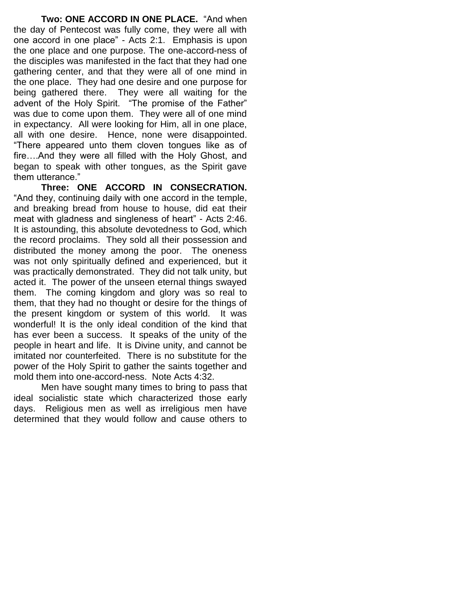**Two: ONE ACCORD IN ONE PLACE.** "And when the day of Pentecost was fully come, they were all with one accord in one place" - Acts 2:1. Emphasis is upon the one place and one purpose. The one-accord-ness of the disciples was manifested in the fact that they had one gathering center, and that they were all of one mind in the one place. They had one desire and one purpose for being gathered there. They were all waiting for the advent of the Holy Spirit. "The promise of the Father" was due to come upon them. They were all of one mind in expectancy. All were looking for Him, all in one place, all with one desire. Hence, none were disappointed. "There appeared unto them cloven tongues like as of fire….And they were all filled with the Holy Ghost, and began to speak with other tongues, as the Spirit gave them utterance."

**Three: ONE ACCORD IN CONSECRATION.**  "And they, continuing daily with one accord in the temple, and breaking bread from house to house, did eat their meat with gladness and singleness of heart" - Acts 2:46. It is astounding, this absolute devotedness to God, which the record proclaims. They sold all their possession and distributed the money among the poor. The oneness was not only spiritually defined and experienced, but it was practically demonstrated. They did not talk unity, but acted it. The power of the unseen eternal things swayed them. The coming kingdom and glory was so real to them, that they had no thought or desire for the things of the present kingdom or system of this world. It was wonderful! It is the only ideal condition of the kind that has ever been a success. It speaks of the unity of the people in heart and life. It is Divine unity, and cannot be imitated nor counterfeited. There is no substitute for the power of the Holy Spirit to gather the saints together and mold them into one-accord-ness. Note Acts 4:32.

Men have sought many times to bring to pass that ideal socialistic state which characterized those early days. Religious men as well as irreligious men have determined that they would follow and cause others to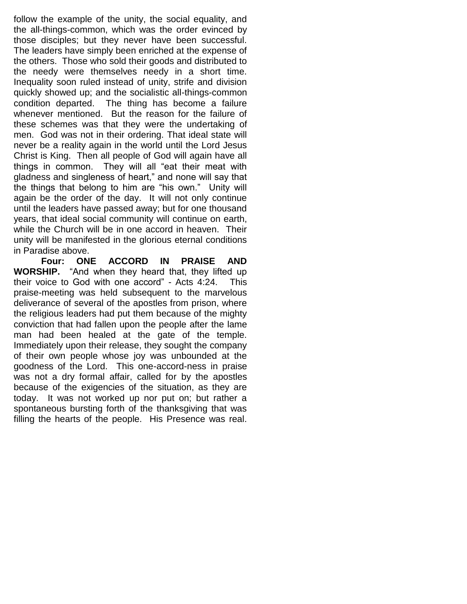follow the example of the unity, the social equality, and the all-things-common, which was the order evinced by those disciples; but they never have been successful. The leaders have simply been enriched at the expense of the others. Those who sold their goods and distributed to the needy were themselves needy in a short time. Inequality soon ruled instead of unity, strife and division quickly showed up; and the socialistic all-things-common condition departed. The thing has become a failure whenever mentioned. But the reason for the failure of these schemes was that they were the undertaking of men. God was not in their ordering. That ideal state will never be a reality again in the world until the Lord Jesus Christ is King. Then all people of God will again have all things in common. They will all "eat their meat with gladness and singleness of heart," and none will say that the things that belong to him are "his own." Unity will again be the order of the day. It will not only continue until the leaders have passed away; but for one thousand years, that ideal social community will continue on earth, while the Church will be in one accord in heaven. Their unity will be manifested in the glorious eternal conditions in Paradise above.

**Four: ONE ACCORD IN PRAISE AND WORSHIP.** "And when they heard that, they lifted up their voice to God with one accord" - Acts 4:24. This praise-meeting was held subsequent to the marvelous deliverance of several of the apostles from prison, where the religious leaders had put them because of the mighty conviction that had fallen upon the people after the lame man had been healed at the gate of the temple. Immediately upon their release, they sought the company of their own people whose joy was unbounded at the goodness of the Lord. This one-accord-ness in praise was not a dry formal affair, called for by the apostles because of the exigencies of the situation, as they are today. It was not worked up nor put on; but rather a spontaneous bursting forth of the thanksgiving that was filling the hearts of the people. His Presence was real.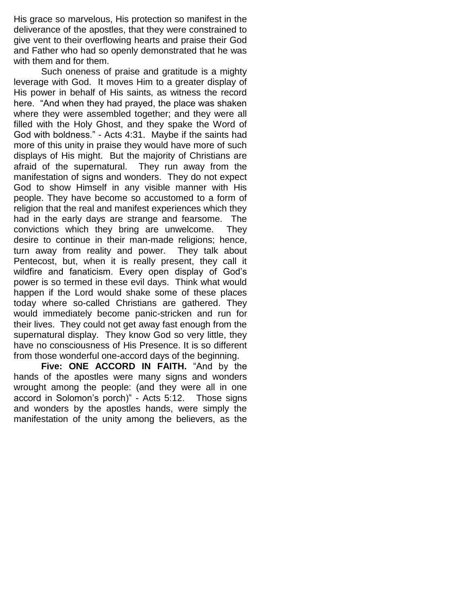His grace so marvelous, His protection so manifest in the deliverance of the apostles, that they were constrained to give vent to their overflowing hearts and praise their God and Father who had so openly demonstrated that he was with them and for them.

Such oneness of praise and gratitude is a mighty leverage with God. It moves Him to a greater display of His power in behalf of His saints, as witness the record here. "And when they had prayed, the place was shaken where they were assembled together; and they were all filled with the Holy Ghost, and they spake the Word of God with boldness." - Acts 4:31. Maybe if the saints had more of this unity in praise they would have more of such displays of His might. But the majority of Christians are afraid of the supernatural. They run away from the manifestation of signs and wonders. They do not expect God to show Himself in any visible manner with His people. They have become so accustomed to a form of religion that the real and manifest experiences which they had in the early days are strange and fearsome. The convictions which they bring are unwelcome. They desire to continue in their man-made religions; hence, turn away from reality and power. They talk about Pentecost, but, when it is really present, they call it wildfire and fanaticism. Every open display of God"s power is so termed in these evil days. Think what would happen if the Lord would shake some of these places today where so-called Christians are gathered. They would immediately become panic-stricken and run for their lives. They could not get away fast enough from the supernatural display. They know God so very little, they have no consciousness of His Presence. It is so different from those wonderful one-accord days of the beginning.

**Five: ONE ACCORD IN FAITH.** "And by the hands of the apostles were many signs and wonders wrought among the people: (and they were all in one accord in Solomon"s porch)" - Acts 5:12. Those signs and wonders by the apostles hands, were simply the manifestation of the unity among the believers, as the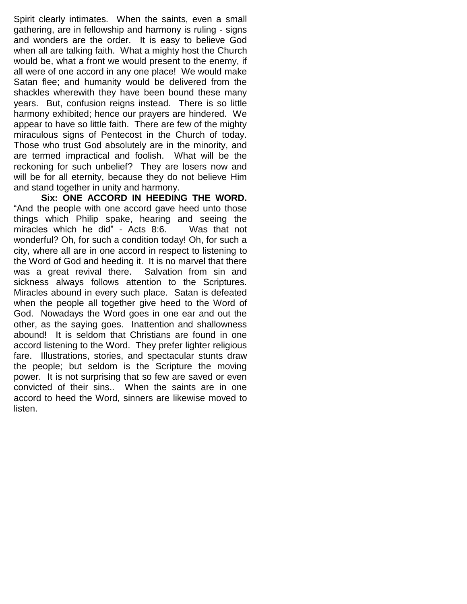Spirit clearly intimates. When the saints, even a small gathering, are in fellowship and harmony is ruling - signs and wonders are the order. It is easy to believe God when all are talking faith. What a mighty host the Church would be, what a front we would present to the enemy, if all were of one accord in any one place! We would make Satan flee; and humanity would be delivered from the shackles wherewith they have been bound these many years. But, confusion reigns instead. There is so little harmony exhibited; hence our prayers are hindered. We appear to have so little faith. There are few of the mighty miraculous signs of Pentecost in the Church of today. Those who trust God absolutely are in the minority, and are termed impractical and foolish. What will be the reckoning for such unbelief? They are losers now and will be for all eternity, because they do not believe Him and stand together in unity and harmony.

**Six: ONE ACCORD IN HEEDING THE WORD.**  "And the people with one accord gave heed unto those things which Philip spake, hearing and seeing the miracles which he did" - Acts 8:6. Was that not wonderful? Oh, for such a condition today! Oh, for such a city, where all are in one accord in respect to listening to the Word of God and heeding it. It is no marvel that there was a great revival there. Salvation from sin and sickness always follows attention to the Scriptures. Miracles abound in every such place. Satan is defeated when the people all together give heed to the Word of God. Nowadays the Word goes in one ear and out the other, as the saying goes. Inattention and shallowness abound! It is seldom that Christians are found in one accord listening to the Word. They prefer lighter religious fare. Illustrations, stories, and spectacular stunts draw the people; but seldom is the Scripture the moving power. It is not surprising that so few are saved or even convicted of their sins.. When the saints are in one accord to heed the Word, sinners are likewise moved to listen.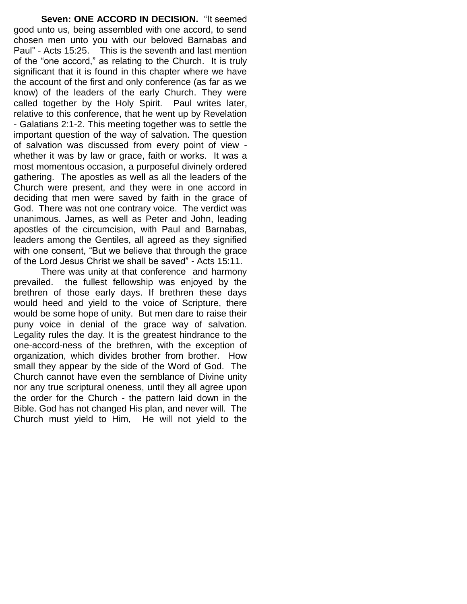**Seven: ONE ACCORD IN DECISION.** "It seemed good unto us, being assembled with one accord, to send chosen men unto you with our beloved Barnabas and Paul" - Acts 15:25. This is the seventh and last mention of the "one accord," as relating to the Church. It is truly significant that it is found in this chapter where we have the account of the first and only conference (as far as we know) of the leaders of the early Church. They were called together by the Holy Spirit. Paul writes later, relative to this conference, that he went up by Revelation - Galatians 2:1-2. This meeting together was to settle the important question of the way of salvation. The question of salvation was discussed from every point of view whether it was by law or grace, faith or works. It was a most momentous occasion, a purposeful divinely ordered gathering. The apostles as well as all the leaders of the Church were present, and they were in one accord in deciding that men were saved by faith in the grace of God. There was not one contrary voice. The verdict was unanimous. James, as well as Peter and John, leading apostles of the circumcision, with Paul and Barnabas, leaders among the Gentiles, all agreed as they signified with one consent, "But we believe that through the grace of the Lord Jesus Christ we shall be saved" - Acts 15:11.

There was unity at that conference and harmony prevailed. the fullest fellowship was enjoyed by the brethren of those early days. If brethren these days would heed and yield to the voice of Scripture, there would be some hope of unity. But men dare to raise their puny voice in denial of the grace way of salvation. Legality rules the day. It is the greatest hindrance to the one-accord-ness of the brethren, with the exception of organization, which divides brother from brother. How small they appear by the side of the Word of God. The Church cannot have even the semblance of Divine unity nor any true scriptural oneness, until they all agree upon the order for the Church - the pattern laid down in the Bible. God has not changed His plan, and never will. The Church must yield to Him, He will not yield to the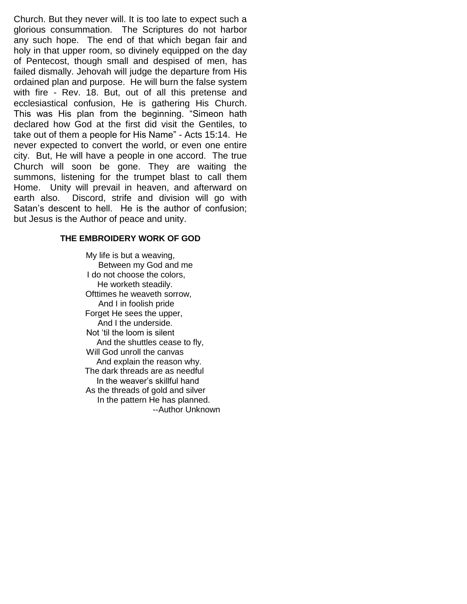Church. But they never will. It is too late to expect such a glorious consummation. The Scriptures do not harbor any such hope. The end of that which began fair and holy in that upper room, so divinely equipped on the day of Pentecost, though small and despised of men, has failed dismally. Jehovah will judge the departure from His ordained plan and purpose. He will burn the false system with fire - Rev. 18. But, out of all this pretense and ecclesiastical confusion, He is gathering His Church. This was His plan from the beginning. "Simeon hath declared how God at the first did visit the Gentiles, to take out of them a people for His Name" - Acts 15:14. He never expected to convert the world, or even one entire city. But, He will have a people in one accord. The true Church will soon be gone. They are waiting the summons, listening for the trumpet blast to call them Home. Unity will prevail in heaven, and afterward on earth also. Discord, strife and division will go with Satan's descent to hell. He is the author of confusion; but Jesus is the Author of peace and unity.

#### **THE EMBROIDERY WORK OF GOD**

My life is but a weaving, Between my God and me I do not choose the colors, He worketh steadily. Ofttimes he weaveth sorrow, And I in foolish pride Forget He sees the upper, And I the underside. Not "til the loom is silent And the shuttles cease to fly, Will God unroll the canvas And explain the reason why. The dark threads are as needful In the weaver"s skillful hand As the threads of gold and silver In the pattern He has planned. --Author Unknown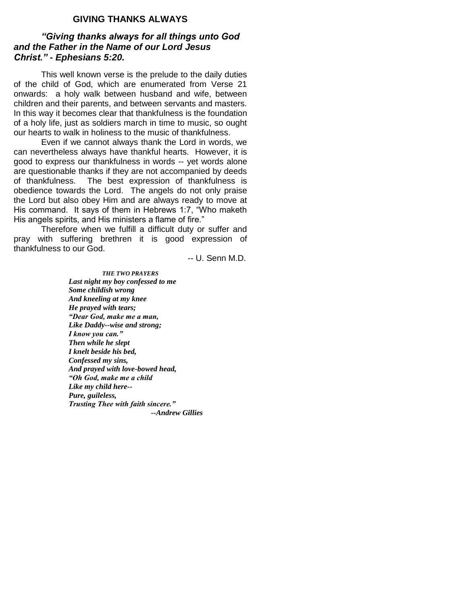### **GIVING THANKS ALWAYS**

#### *"Giving thanks always for all things unto God and the Father in the Name of our Lord Jesus Christ." - Ephesians 5:20.*

This well known verse is the prelude to the daily duties of the child of God, which are enumerated from Verse 21 onwards: a holy walk between husband and wife, between children and their parents, and between servants and masters. In this way it becomes clear that thankfulness is the foundation of a holy life, just as soldiers march in time to music, so ought our hearts to walk in holiness to the music of thankfulness.

Even if we cannot always thank the Lord in words, we can nevertheless always have thankful hearts. However, it is good to express our thankfulness in words -- yet words alone are questionable thanks if they are not accompanied by deeds of thankfulness. The best expression of thankfulness is obedience towards the Lord. The angels do not only praise the Lord but also obey Him and are always ready to move at His command. It says of them in Hebrews 1:7, "Who maketh His angels spirits, and His ministers a flame of fire."

Therefore when we fulfill a difficult duty or suffer and pray with suffering brethren it is good expression of thankfulness to our God.

-- U. Senn M.D.

*THE TWO PRAYERS Last night my boy confessed to me Some childish wrong And kneeling at my knee He prayed with tears; "Dear God, make me a man, Like Daddy--wise and strong; I know you can." Then while he slept I knelt beside his bed, Confessed my sins, And prayed with love-bowed head, "Oh God, make me a child Like my child here-- Pure, guileless, Trusting Thee with faith sincere." --Andrew Gillies*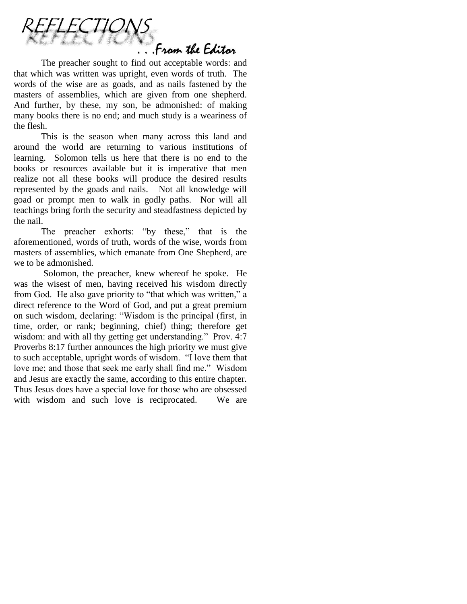

The preacher sought to find out acceptable words: and that which was written was upright, even words of truth. The words of the wise are as goads, and as nails fastened by the masters of assemblies, which are given from one shepherd. And further, by these, my son, be admonished: of making many books there is no end; and much study is a weariness of the flesh.

This is the season when many across this land and around the world are returning to various institutions of learning. Solomon tells us here that there is no end to the books or resources available but it is imperative that men realize not all these books will produce the desired results represented by the goads and nails. Not all knowledge will goad or prompt men to walk in godly paths. Nor will all teachings bring forth the security and steadfastness depicted by the nail.

The preacher exhorts: "by these," that is the aforementioned, words of truth, words of the wise, words from masters of assemblies, which emanate from One Shepherd, are we to be admonished.

Solomon, the preacher, knew whereof he spoke. He was the wisest of men, having received his wisdom directly from God. He also gave priority to "that which was written," a direct reference to the Word of God, and put a great premium on such wisdom, declaring: "Wisdom is the principal (first, in time, order, or rank; beginning, chief) thing; therefore get wisdom: and with all thy getting get understanding." Prov. 4:7 Proverbs 8:17 further announces the high priority we must give to such acceptable, upright words of wisdom. "I love them that love me; and those that seek me early shall find me." Wisdom and Jesus are exactly the same, according to this entire chapter. Thus Jesus does have a special love for those who are obsessed with wisdom and such love is reciprocated. We are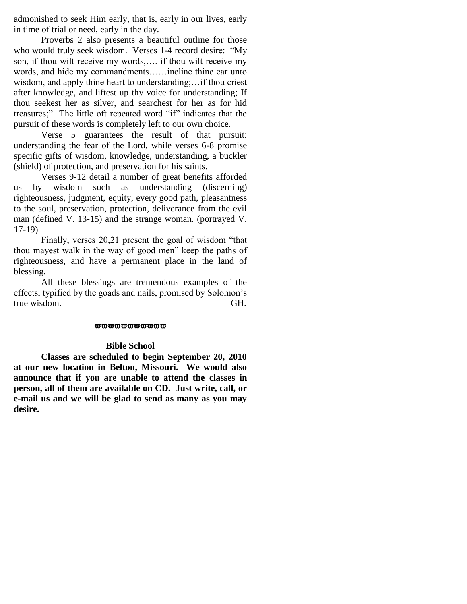admonished to seek Him early, that is, early in our lives, early in time of trial or need, early in the day.

Proverbs 2 also presents a beautiful outline for those who would truly seek wisdom. Verses 1-4 record desire: "My son, if thou wilt receive my words,…. if thou wilt receive my words, and hide my commandments……incline thine ear unto wisdom, and apply thine heart to understanding;…if thou criest after knowledge, and liftest up thy voice for understanding; If thou seekest her as silver, and searchest for her as for hid treasures;" The little oft repeated word "if" indicates that the pursuit of these words is completely left to our own choice.

Verse 5 guarantees the result of that pursuit: understanding the fear of the Lord, while verses 6-8 promise specific gifts of wisdom, knowledge, understanding, a buckler (shield) of protection, and preservation for his saints.

Verses 9-12 detail a number of great benefits afforded us by wisdom such as understanding (discerning) righteousness, judgment, equity, every good path, pleasantness to the soul, preservation, protection, deliverance from the evil man (defined V. 13-15) and the strange woman. (portrayed V. 17-19)

Finally, verses 20,21 present the goal of wisdom "that thou mayest walk in the way of good men" keep the paths of righteousness, and have a permanent place in the land of blessing.

All these blessings are tremendous examples of the effects, typified by the goads and nails, promised by Solomon"s true wisdom. GH.

#### **wwwwwwww**

#### **Bible School**

**Classes are scheduled to begin September 20, 2010 at our new location in Belton, Missouri. We would also announce that if you are unable to attend the classes in person, all of them are available on CD. Just write, call, or e-mail us and we will be glad to send as many as you may desire.**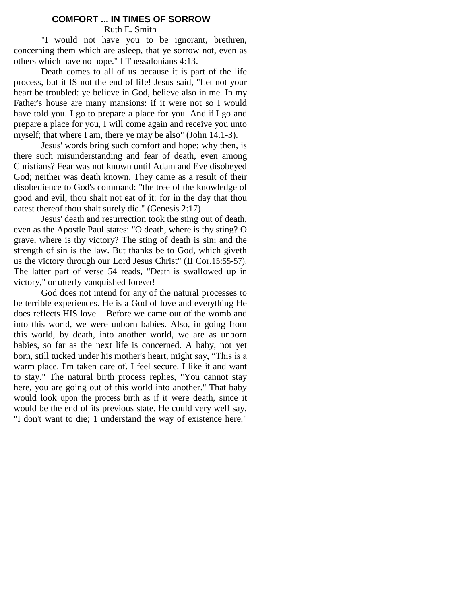#### **COMFORT ... IN TIMES OF SORROW**

Ruth E. Smith

"I would not have you to be ignorant, brethren, concerning them which are asleep, that ye sorrow not, even as others which have no hope." I Thessalonians 4:13.

Death comes to all of us because it is part of the life process, but it IS not the end of life! Jesus said, "Let not your heart be troubled: ye believe in God, believe also in me. In my Father's house are many mansions: if it were not so I would have told you. I go to prepare a place for you. And if I go and prepare a place for you, I will come again and receive you unto myself; that where I am, there ye may be also" (John 14.1-3).

Jesus' words bring such comfort and hope; why then, is there such misunderstanding and fear of death, even among Christians? Fear was not known until Adam and Eve disobeyed God; neither was death known. They came as a result of their disobedience to God's command: "the tree of the knowledge of good and evil, thou shalt not eat of it: for in the day that thou eatest thereof thou shalt surely die." (Genesis 2:17)

Jesus' death and resurrection took the sting out of death, even as the Apostle Paul states: "O death, where is thy sting? O grave, where is thy victory? The sting of death is sin; and the strength of sin is the law. But thanks be to God, which giveth us the victory through our Lord Jesus Christ" (II Cor.15:55-57). The latter part of verse 54 reads, "Death is swallowed up in victory," or utterly vanquished forever!

God does not intend for any of the natural processes to be terrible experiences. He is a God of love and everything He does reflects HIS love. Before we came out of the womb and into this world, we were unborn babies. Also, in going from this world, by death, into another world, we are as unborn babies, so far as the next life is concerned. A baby, not yet born, still tucked under his mother's heart, might say, "This is a warm place. I'm taken care of. I feel secure. I like it and want to stay." The natural birth process replies, "You cannot stay here, you are going out of this world into another." That baby would look upon the process birth as if it were death, since it would be the end of its previous state. He could very well say, "I don't want to die; 1 understand the way of existence here."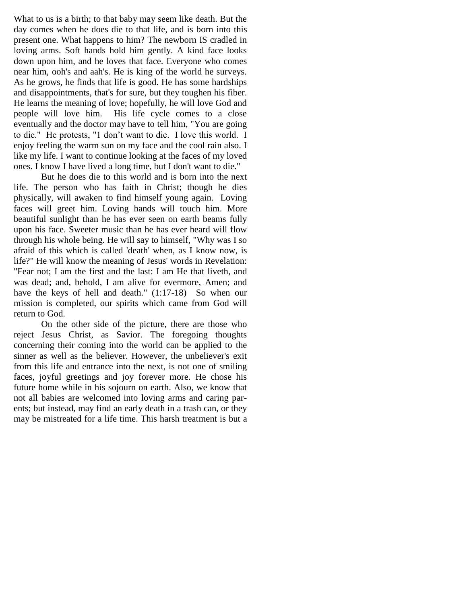What to us is a birth; to that baby may seem like death. But the day comes when he does die to that life, and is born into this present one. What happens to him? The newborn IS cradled in loving arms. Soft hands hold him gently. A kind face looks down upon him, and he loves that face. Everyone who comes near him, ooh's and aah's. He is king of the world he surveys. As he grows, he finds that life is good. He has some hardships and disappointments, that's for sure, but they toughen his fiber. He learns the meaning of love; hopefully, he will love God and people will love him. His life cycle comes to a close eventually and the doctor may have to tell him, "You are going to die." He protests, "1 don"t want to die. I love this world. I enjoy feeling the warm sun on my face and the cool rain also. I like my life. I want to continue looking at the faces of my loved ones. I know I have lived a long time, but I don't want to die."

But he does die to this world and is born into the next life. The person who has faith in Christ; though he dies physically, will awaken to find himself young again. Loving faces will greet him. Loving hands will touch him. More beautiful sunlight than he has ever seen on earth beams fully upon his face. Sweeter music than he has ever heard will flow through his whole being. He will say to himself, "Why was I so afraid of this which is called 'death' when, as I know now, is life?" He will know the meaning of Jesus' words in Revelation: "Fear not; I am the first and the last: I am He that liveth, and was dead; and, behold, I am alive for evermore, Amen; and have the keys of hell and death." (1:17-18) So when our mission is completed, our spirits which came from God will return to God.

On the other side of the picture, there are those who reject Jesus Christ, as Savior. The foregoing thoughts concerning their coming into the world can be applied to the sinner as well as the believer. However, the unbeliever's exit from this life and entrance into the next, is not one of smiling faces, joyful greetings and joy forever more. He chose his future home while in his sojourn on earth. Also, we know that not all babies are welcomed into loving arms and caring parents; but instead, may find an early death in a trash can, or they may be mistreated for a life time. This harsh treatment is but a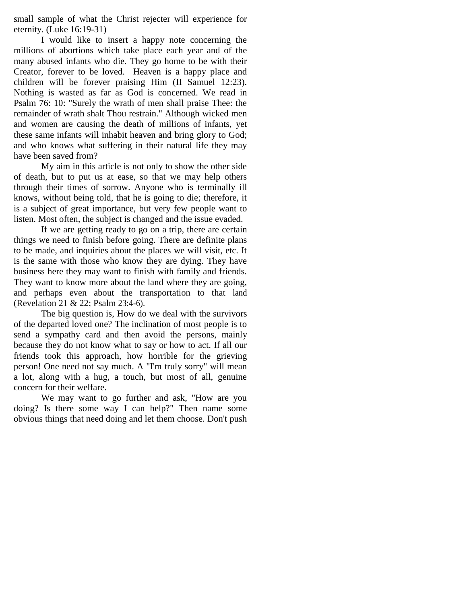small sample of what the Christ rejecter will experience for eternity. (Luke 16:19-31)

I would like to insert a happy note concerning the millions of abortions which take place each year and of the many abused infants who die. They go home to be with their Creator, forever to be loved. Heaven is a happy place and children will be forever praising Him (II Samuel 12:23). Nothing is wasted as far as God is concerned. We read in Psalm 76: 10: "Surely the wrath of men shall praise Thee: the remainder of wrath shalt Thou restrain." Although wicked men and women are causing the death of millions of infants, yet these same infants will inhabit heaven and bring glory to God; and who knows what suffering in their natural life they may have been saved from?

My aim in this article is not only to show the other side of death, but to put us at ease, so that we may help others through their times of sorrow. Anyone who is terminally ill knows, without being told, that he is going to die; therefore, it is a subject of great importance, but very few people want to listen. Most often, the subject is changed and the issue evaded.

If we are getting ready to go on a trip, there are certain things we need to finish before going. There are definite plans to be made, and inquiries about the places we will visit, etc. It is the same with those who know they are dying. They have business here they may want to finish with family and friends. They want to know more about the land where they are going, and perhaps even about the transportation to that land (Revelation 21 & 22; Psalm 23:4-6).

The big question is, How do we deal with the survivors of the departed loved one? The inclination of most people is to send a sympathy card and then avoid the persons, mainly because they do not know what to say or how to act. If all our friends took this approach, how horrible for the grieving person! One need not say much. A "I'm truly sorry" will mean a lot, along with a hug, a touch, but most of all, genuine concern for their welfare.

We may want to go further and ask, "How are you doing? Is there some way I can help?" Then name some obvious things that need doing and let them choose. Don't push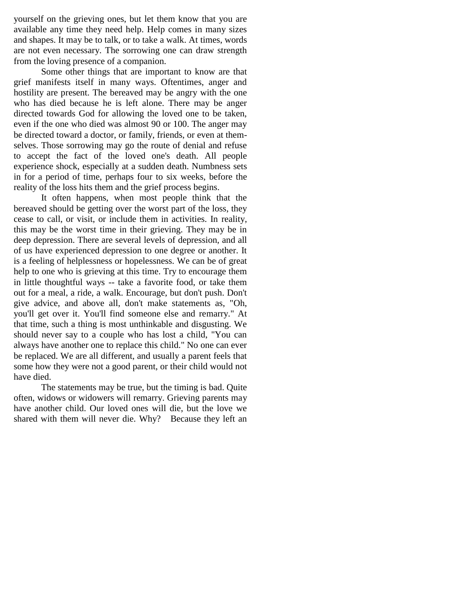yourself on the grieving ones, but let them know that you are available any time they need help. Help comes in many sizes and shapes. It may be to talk, or to take a walk. At times, words are not even necessary. The sorrowing one can draw strength from the loving presence of a companion.

Some other things that are important to know are that grief manifests itself in many ways. Oftentimes, anger and hostility are present. The bereaved may be angry with the one who has died because he is left alone. There may be anger directed towards God for allowing the loved one to be taken, even if the one who died was almost 90 or 100. The anger may be directed toward a doctor, or family, friends, or even at themselves. Those sorrowing may go the route of denial and refuse to accept the fact of the loved one's death. All people experience shock, especially at a sudden death. Numbness sets in for a period of time, perhaps four to six weeks, before the reality of the loss hits them and the grief process begins.

It often happens, when most people think that the bereaved should be getting over the worst part of the loss, they cease to call, or visit, or include them in activities. In reality, this may be the worst time in their grieving. They may be in deep depression. There are several levels of depression, and all of us have experienced depression to one degree or another. It is a feeling of helplessness or hopelessness. We can be of great help to one who is grieving at this time. Try to encourage them in little thoughtful ways -- take a favorite food, or take them out for a meal, a ride, a walk. Encourage, but don't push. Don't give advice, and above all, don't make statements as, "Oh, you'll get over it. You'll find someone else and remarry." At that time, such a thing is most unthinkable and disgusting. We should never say to a couple who has lost a child, "You can always have another one to replace this child." No one can ever be replaced. We are all different, and usually a parent feels that some how they were not a good parent, or their child would not have died.

The statements may be true, but the timing is bad. Quite often, widows or widowers will remarry. Grieving parents may have another child. Our loved ones will die, but the love we shared with them will never die. Why? Because they left an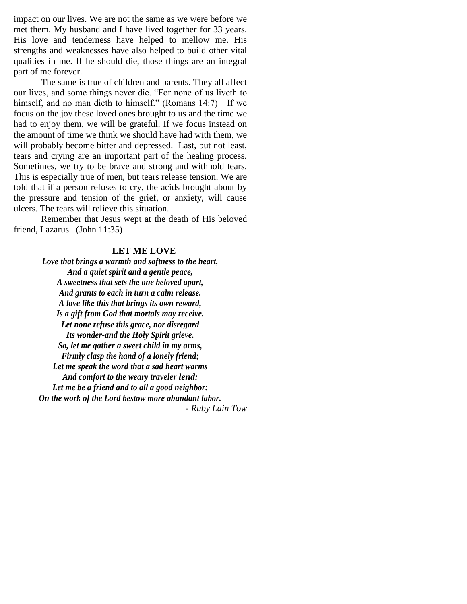impact on our lives. We are not the same as we were before we met them. My husband and I have lived together for 33 years. His love and tenderness have helped to mellow me. His strengths and weaknesses have also helped to build other vital qualities in me. If he should die, those things are an integral part of me forever.

The same is true of children and parents. They all affect our lives, and some things never die. "For none of us liveth to himself, and no man dieth to himself." (Romans 14:7) If we focus on the joy these loved ones brought to us and the time we had to enjoy them, we will be grateful. If we focus instead on the amount of time we think we should have had with them, we will probably become bitter and depressed. Last, but not least, tears and crying are an important part of the healing process. Sometimes, we try to be brave and strong and withhold tears. This is especially true of men, but tears release tension. We are told that if a person refuses to cry, the acids brought about by the pressure and tension of the grief, or anxiety, will cause ulcers. The tears will relieve this situation.

Remember that Jesus wept at the death of His beloved friend, Lazarus. (John 11:35)

#### **LET ME LOVE**

*Love that brings a warmth and softness to the heart, And a quiet spirit and a gentle peace, A sweetness that sets the one beloved apart, And grants to each in turn a calm release. A love like this that brings its own reward, Is a gift from God that mortals may receive. Let none refuse this grace, nor disregard Its wonder-and the Holy Spirit grieve. So, let me gather a sweet child in my arms, Firmly clasp the hand of a lonely friend; Let me speak the word that a sad heart warms And comfort to the weary traveler lend: Let me be a friend and to all a good neighbor: On the work of the Lord bestow more abundant labor. - Ruby Lain Tow*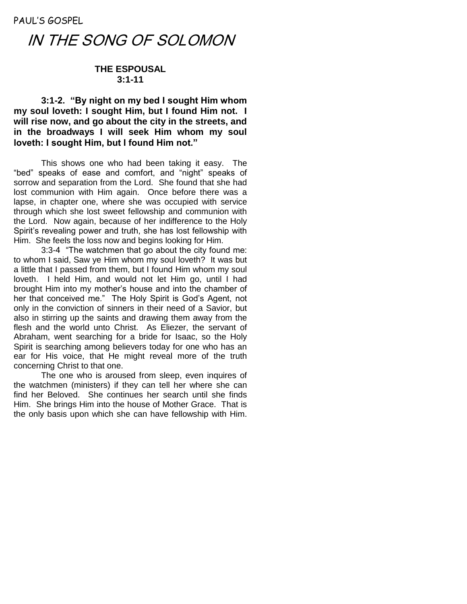PAUL'S GOSPEL

# IN THE SONG OF SOLOMON

# **THE ESPOUSAL 3:1-11**

**3:1-2. "By night on my bed I sought Him whom my soul loveth: I sought Him, but I found Him not. I will rise now, and go about the city in the streets, and in the broadways I will seek Him whom my soul loveth: I sought Him, but I found Him not."**

This shows one who had been taking it easy. The "bed" speaks of ease and comfort, and "night" speaks of sorrow and separation from the Lord. She found that she had lost communion with Him again. Once before there was a lapse, in chapter one, where she was occupied with service through which she lost sweet fellowship and communion with the Lord. Now again, because of her indifference to the Holy Spirit's revealing power and truth, she has lost fellowship with Him. She feels the loss now and begins looking for Him.

3:3-4 "The watchmen that go about the city found me: to whom I said, Saw ye Him whom my soul loveth? It was but a little that I passed from them, but I found Him whom my soul loveth. I held Him, and would not let Him go, until I had brought Him into my mother"s house and into the chamber of her that conceived me." The Holy Spirit is God"s Agent, not only in the conviction of sinners in their need of a Savior, but also in stirring up the saints and drawing them away from the flesh and the world unto Christ. As Eliezer, the servant of Abraham, went searching for a bride for Isaac, so the Holy Spirit is searching among believers today for one who has an ear for His voice, that He might reveal more of the truth concerning Christ to that one.

The one who is aroused from sleep, even inquires of the watchmen (ministers) if they can tell her where she can find her Beloved. She continues her search until she finds Him. She brings Him into the house of Mother Grace. That is the only basis upon which she can have fellowship with Him.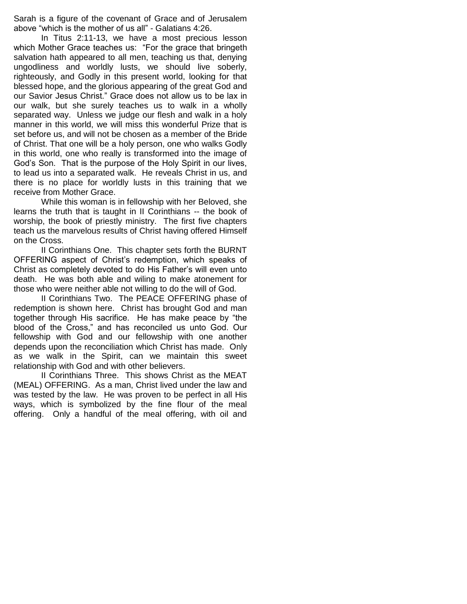Sarah is a figure of the covenant of Grace and of Jerusalem above "which is the mother of us all" - Galatians 4:26.

In Titus 2:11-13, we have a most precious lesson which Mother Grace teaches us: "For the grace that bringeth salvation hath appeared to all men, teaching us that, denying ungodliness and worldly lusts, we should live soberly, righteously, and Godly in this present world, looking for that blessed hope, and the glorious appearing of the great God and our Savior Jesus Christ." Grace does not allow us to be lax in our walk, but she surely teaches us to walk in a wholly separated way. Unless we judge our flesh and walk in a holy manner in this world, we will miss this wonderful Prize that is set before us, and will not be chosen as a member of the Bride of Christ. That one will be a holy person, one who walks Godly in this world, one who really is transformed into the image of God"s Son. That is the purpose of the Holy Spirit in our lives, to lead us into a separated walk. He reveals Christ in us, and there is no place for worldly lusts in this training that we receive from Mother Grace.

While this woman is in fellowship with her Beloved, she learns the truth that is taught in II Corinthians -- the book of worship, the book of priestly ministry. The first five chapters teach us the marvelous results of Christ having offered Himself on the Cross.

II Corinthians One. This chapter sets forth the BURNT OFFERING aspect of Christ"s redemption, which speaks of Christ as completely devoted to do His Father"s will even unto death. He was both able and wiling to make atonement for those who were neither able not willing to do the will of God.

II Corinthians Two. The PEACE OFFERING phase of redemption is shown here. Christ has brought God and man together through His sacrifice. He has make peace by "the blood of the Cross," and has reconciled us unto God. Our fellowship with God and our fellowship with one another depends upon the reconciliation which Christ has made. Only as we walk in the Spirit, can we maintain this sweet relationship with God and with other believers.

II Corinthians Three. This shows Christ as the MEAT (MEAL) OFFERING. As a man, Christ lived under the law and was tested by the law. He was proven to be perfect in all His ways, which is symbolized by the fine flour of the meal offering. Only a handful of the meal offering, with oil and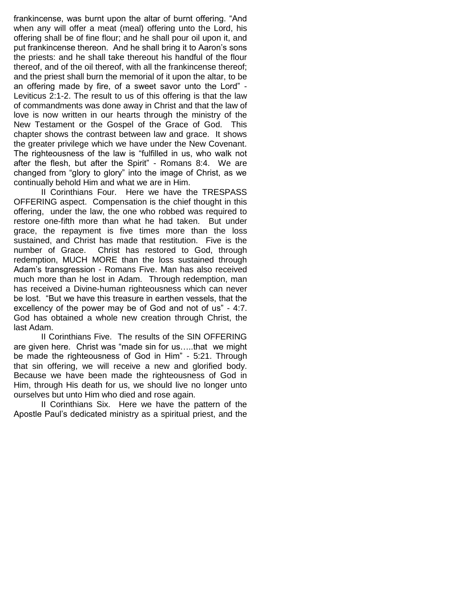frankincense, was burnt upon the altar of burnt offering. "And when any will offer a meat (meal) offering unto the Lord, his offering shall be of fine flour; and he shall pour oil upon it, and put frankincense thereon. And he shall bring it to Aaron"s sons the priests: and he shall take thereout his handful of the flour thereof, and of the oil thereof, with all the frankincense thereof; and the priest shall burn the memorial of it upon the altar, to be an offering made by fire, of a sweet savor unto the Lord" - Leviticus 2:1-2. The result to us of this offering is that the law of commandments was done away in Christ and that the law of love is now written in our hearts through the ministry of the New Testament or the Gospel of the Grace of God. This chapter shows the contrast between law and grace. It shows the greater privilege which we have under the New Covenant. The righteousness of the law is "fulfilled in us, who walk not after the flesh, but after the Spirit" - Romans 8:4. We are changed from "glory to glory" into the image of Christ, as we continually behold Him and what we are in Him.

II Corinthians Four. Here we have the TRESPASS OFFERING aspect. Compensation is the chief thought in this offering, under the law, the one who robbed was required to restore one-fifth more than what he had taken. But under grace, the repayment is five times more than the loss sustained, and Christ has made that restitution. Five is the number of Grace. Christ has restored to God, through redemption, MUCH MORE than the loss sustained through Adam"s transgression - Romans Five. Man has also received much more than he lost in Adam. Through redemption, man has received a Divine-human righteousness which can never be lost. "But we have this treasure in earthen vessels, that the excellency of the power may be of God and not of us" - 4:7. God has obtained a whole new creation through Christ, the last Adam.

II Corinthians Five. The results of the SIN OFFERING are given here. Christ was "made sin for us…..that we might be made the righteousness of God in Him" - 5:21. Through that sin offering, we will receive a new and glorified body. Because we have been made the righteousness of God in Him, through His death for us, we should live no longer unto ourselves but unto Him who died and rose again.

II Corinthians Six. Here we have the pattern of the Apostle Paul"s dedicated ministry as a spiritual priest, and the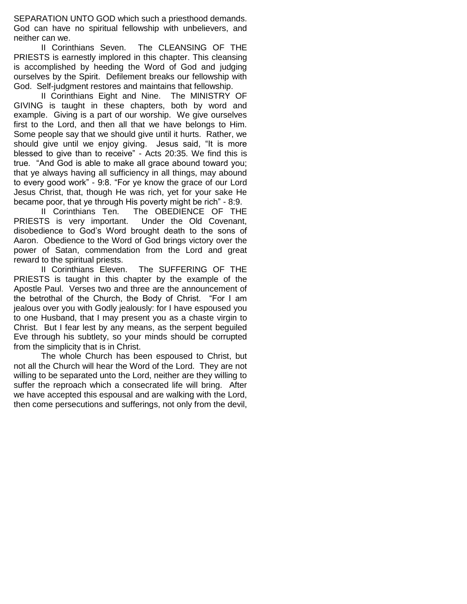SEPARATION UNTO GOD which such a priesthood demands. God can have no spiritual fellowship with unbelievers, and neither can we.

II Corinthians Seven. The CLEANSING OF THE PRIESTS is earnestly implored in this chapter. This cleansing is accomplished by heeding the Word of God and judging ourselves by the Spirit. Defilement breaks our fellowship with God. Self-judgment restores and maintains that fellowship.

II Corinthians Eight and Nine. The MINISTRY OF GIVING is taught in these chapters, both by word and example. Giving is a part of our worship. We give ourselves first to the Lord, and then all that we have belongs to Him. Some people say that we should give until it hurts. Rather, we should give until we enjoy giving. Jesus said, "It is more blessed to give than to receive" - Acts 20:35. We find this is true. "And God is able to make all grace abound toward you; that ye always having all sufficiency in all things, may abound to every good work" - 9:8. "For ye know the grace of our Lord Jesus Christ, that, though He was rich, yet for your sake He became poor, that ye through His poverty might be rich" - 8:9.

II Corinthians Ten. The OBEDIENCE OF THE PRIESTS is very important. Under the Old Covenant, disobedience to God"s Word brought death to the sons of Aaron. Obedience to the Word of God brings victory over the power of Satan, commendation from the Lord and great reward to the spiritual priests.

II Corinthians Eleven. The SUFFERING OF THE PRIESTS is taught in this chapter by the example of the Apostle Paul. Verses two and three are the announcement of the betrothal of the Church, the Body of Christ. "For I am jealous over you with Godly jealously: for I have espoused you to one Husband, that I may present you as a chaste virgin to Christ. But I fear lest by any means, as the serpent beguiled Eve through his subtlety, so your minds should be corrupted from the simplicity that is in Christ.

The whole Church has been espoused to Christ, but not all the Church will hear the Word of the Lord. They are not willing to be separated unto the Lord, neither are they willing to suffer the reproach which a consecrated life will bring. After we have accepted this espousal and are walking with the Lord, then come persecutions and sufferings, not only from the devil,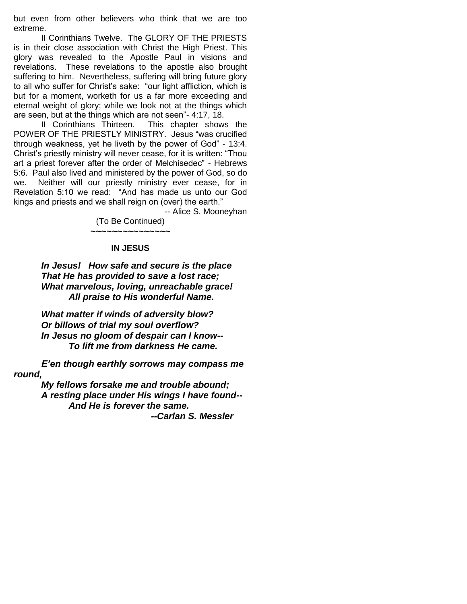but even from other believers who think that we are too extreme.

II Corinthians Twelve. The GLORY OF THE PRIESTS is in their close association with Christ the High Priest. This glory was revealed to the Apostle Paul in visions and revelations. These revelations to the apostle also brought suffering to him. Nevertheless, suffering will bring future glory to all who suffer for Christ"s sake: "our light affliction, which is but for a moment, worketh for us a far more exceeding and eternal weight of glory; while we look not at the things which are seen, but at the things which are not seen"- 4:17, 18.

II Corinthians Thirteen. This chapter shows the POWER OF THE PRIESTLY MINISTRY. Jesus "was crucified through weakness, yet he liveth by the power of God" - 13:4. Christ"s priestly ministry will never cease, for it is written: "Thou art a priest forever after the order of Melchisedec" - Hebrews 5:6. Paul also lived and ministered by the power of God, so do we. Neither will our priestly ministry ever cease, for in Revelation 5:10 we read: "And has made us unto our God kings and priests and we shall reign on (over) the earth."

-- Alice S. Mooneyhan

(To Be Continued) *~~~~~~~~~~~~~~~*

#### **IN JESUS**

*In Jesus! How safe and secure is the place That He has provided to save a lost race; What marvelous, loving, unreachable grace! All praise to His wonderful Name.*

*What matter if winds of adversity blow? Or billows of trial my soul overflow? In Jesus no gloom of despair can I know-- To lift me from darkness He came.*

*E'en though earthly sorrows may compass me round,*

> *My fellows forsake me and trouble abound; A resting place under His wings I have found-- And He is forever the same. --Carlan S. Messler*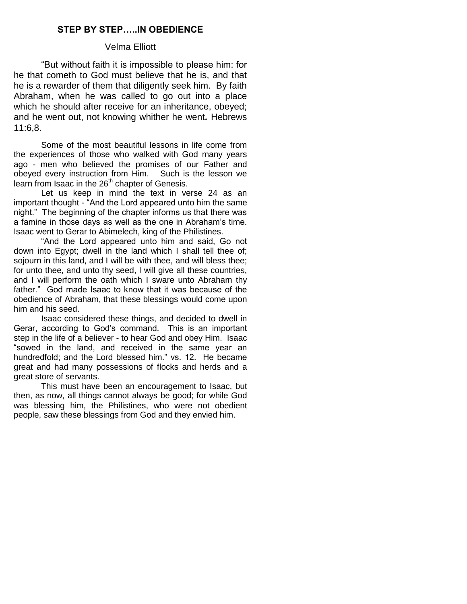# **STEP BY STEP…..IN OBEDIENCE**

#### Velma Elliott

"But without faith it is impossible to please him: for he that cometh to God must believe that he is, and that he is a rewarder of them that diligently seek him. By faith Abraham, when he was called to go out into a place which he should after receive for an inheritance, obeyed; and he went out, not knowing whither he went*.* Hebrews 11:6,8.

Some of the most beautiful lessons in life come from the experiences of those who walked with God many years ago - men who believed the promises of our Father and obeyed every instruction from Him. Such is the lesson we learn from Isaac in the 26<sup>th</sup> chapter of Genesis.

Let us keep in mind the text in verse 24 as an important thought - "And the Lord appeared unto him the same night." The beginning of the chapter informs us that there was a famine in those days as well as the one in Abraham"s time. Isaac went to Gerar to Abimelech, king of the Philistines.

"And the Lord appeared unto him and said, Go not down into Egypt; dwell in the land which I shall tell thee of; sojourn in this land, and I will be with thee, and will bless thee; for unto thee, and unto thy seed, I will give all these countries, and I will perform the oath which I sware unto Abraham thy father." God made Isaac to know that it was because of the obedience of Abraham, that these blessings would come upon him and his seed.

Isaac considered these things, and decided to dwell in Gerar, according to God"s command. This is an important step in the life of a believer - to hear God and obey Him. Isaac "sowed in the land, and received in the same year an hundredfold; and the Lord blessed him." vs. 12. He became great and had many possessions of flocks and herds and a great store of servants.

This must have been an encouragement to Isaac, but then, as now, all things cannot always be good; for while God was blessing him, the Philistines, who were not obedient people, saw these blessings from God and they envied him.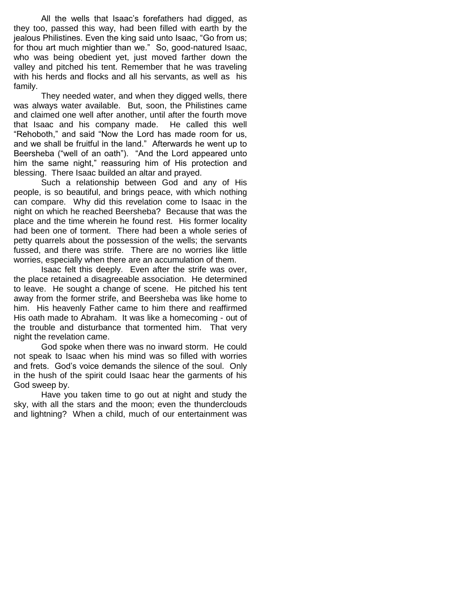All the wells that Isaac's forefathers had digged, as they too, passed this way, had been filled with earth by the jealous Philistines. Even the king said unto Isaac, "Go from us; for thou art much mightier than we." So, good-natured Isaac, who was being obedient yet, just moved farther down the valley and pitched his tent. Remember that he was traveling with his herds and flocks and all his servants, as well as his family.

They needed water, and when they digged wells, there was always water available. But, soon, the Philistines came and claimed one well after another, until after the fourth move that Isaac and his company made. He called this well "Rehoboth," and said "Now the Lord has made room for us, and we shall be fruitful in the land." Afterwards he went up to Beersheba ("well of an oath"). "And the Lord appeared unto him the same night," reassuring him of His protection and blessing. There Isaac builded an altar and prayed.

Such a relationship between God and any of His people, is so beautiful, and brings peace, with which nothing can compare. Why did this revelation come to Isaac in the night on which he reached Beersheba? Because that was the place and the time wherein he found rest. His former locality had been one of torment. There had been a whole series of petty quarrels about the possession of the wells; the servants fussed, and there was strife. There are no worries like little worries, especially when there are an accumulation of them.

Isaac felt this deeply. Even after the strife was over, the place retained a disagreeable association. He determined to leave. He sought a change of scene. He pitched his tent away from the former strife, and Beersheba was like home to him. His heavenly Father came to him there and reaffirmed His oath made to Abraham. It was like a homecoming - out of the trouble and disturbance that tormented him. That very night the revelation came.

God spoke when there was no inward storm. He could not speak to Isaac when his mind was so filled with worries and frets. God"s voice demands the silence of the soul. Only in the hush of the spirit could Isaac hear the garments of his God sweep by.

Have you taken time to go out at night and study the sky, with all the stars and the moon; even the thunderclouds and lightning? When a child, much of our entertainment was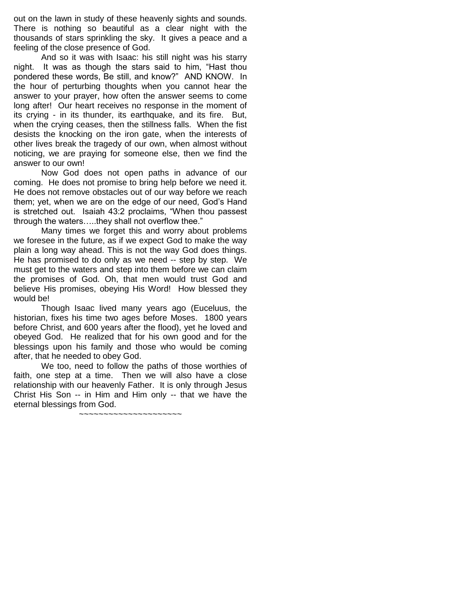out on the lawn in study of these heavenly sights and sounds. There is nothing so beautiful as a clear night with the thousands of stars sprinkling the sky. It gives a peace and a feeling of the close presence of God.

And so it was with Isaac: his still night was his starry night. It was as though the stars said to him, "Hast thou pondered these words, Be still, and know?" AND KNOW. In the hour of perturbing thoughts when you cannot hear the answer to your prayer, how often the answer seems to come long after! Our heart receives no response in the moment of its crying - in its thunder, its earthquake, and its fire. But, when the crying ceases, then the stillness falls. When the fist desists the knocking on the iron gate, when the interests of other lives break the tragedy of our own, when almost without noticing, we are praying for someone else, then we find the answer to our own!

Now God does not open paths in advance of our coming. He does not promise to bring help before we need it. He does not remove obstacles out of our way before we reach them; yet, when we are on the edge of our need, God"s Hand is stretched out. Isaiah 43:2 proclaims, "When thou passest through the waters…..they shall not overflow thee."

Many times we forget this and worry about problems we foresee in the future, as if we expect God to make the way plain a long way ahead. This is not the way God does things. He has promised to do only as we need -- step by step. We must get to the waters and step into them before we can claim the promises of God. Oh, that men would trust God and believe His promises, obeying His Word! How blessed they would be!

Though Isaac lived many years ago (Euceluus, the historian, fixes his time two ages before Moses. 1800 years before Christ, and 600 years after the flood), yet he loved and obeyed God. He realized that for his own good and for the blessings upon his family and those who would be coming after, that he needed to obey God.

We too, need to follow the paths of those worthies of faith, one step at a time. Then we will also have a close relationship with our heavenly Father. It is only through Jesus Christ His Son -- in Him and Him only -- that we have the eternal blessings from God.

~~~~~~~~~~~~~~~~~~~~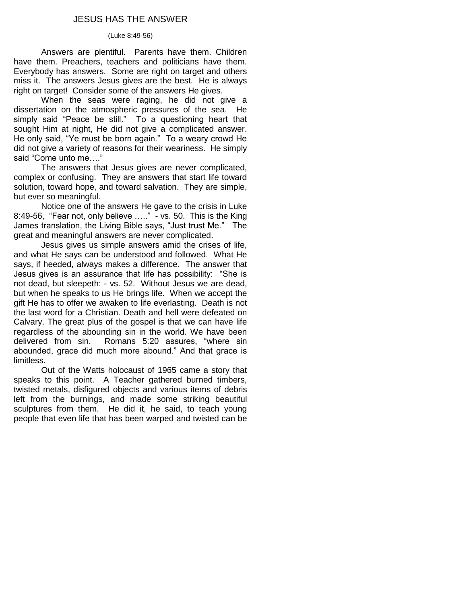# JESUS HAS THE ANSWER

#### (Luke 8:49-56)

Answers are plentiful. Parents have them. Children have them. Preachers, teachers and politicians have them. Everybody has answers. Some are right on target and others miss it. The answers Jesus gives are the best. He is always right on target! Consider some of the answers He gives.

When the seas were raging, he did not give a dissertation on the atmospheric pressures of the sea. He simply said "Peace be still." To a questioning heart that sought Him at night, He did not give a complicated answer. He only said, "Ye must be born again." To a weary crowd He did not give a variety of reasons for their weariness. He simply said "Come unto me…."

The answers that Jesus gives are never complicated, complex or confusing. They are answers that start life toward solution, toward hope, and toward salvation. They are simple, but ever so meaningful.

Notice one of the answers He gave to the crisis in Luke 8:49-56, "Fear not, only believe  $\ldots$ ." - vs. 50. This is the King James translation, the Living Bible says, "Just trust Me." The great and meaningful answers are never complicated.

Jesus gives us simple answers amid the crises of life, and what He says can be understood and followed. What He says, if heeded, always makes a difference. The answer that Jesus gives is an assurance that life has possibility: "She is not dead, but sleepeth: - vs. 52. Without Jesus we are dead, but when he speaks to us He brings life. When we accept the gift He has to offer we awaken to life everlasting. Death is not the last word for a Christian. Death and hell were defeated on Calvary. The great plus of the gospel is that we can have life regardless of the abounding sin in the world. We have been delivered from sin. Romans 5:20 assures, "where sin abounded, grace did much more abound." And that grace is limitless.

Out of the Watts holocaust of 1965 came a story that speaks to this point. A Teacher gathered burned timbers, twisted metals, disfigured objects and various items of debris left from the burnings, and made some striking beautiful sculptures from them. He did it, he said, to teach young people that even life that has been warped and twisted can be